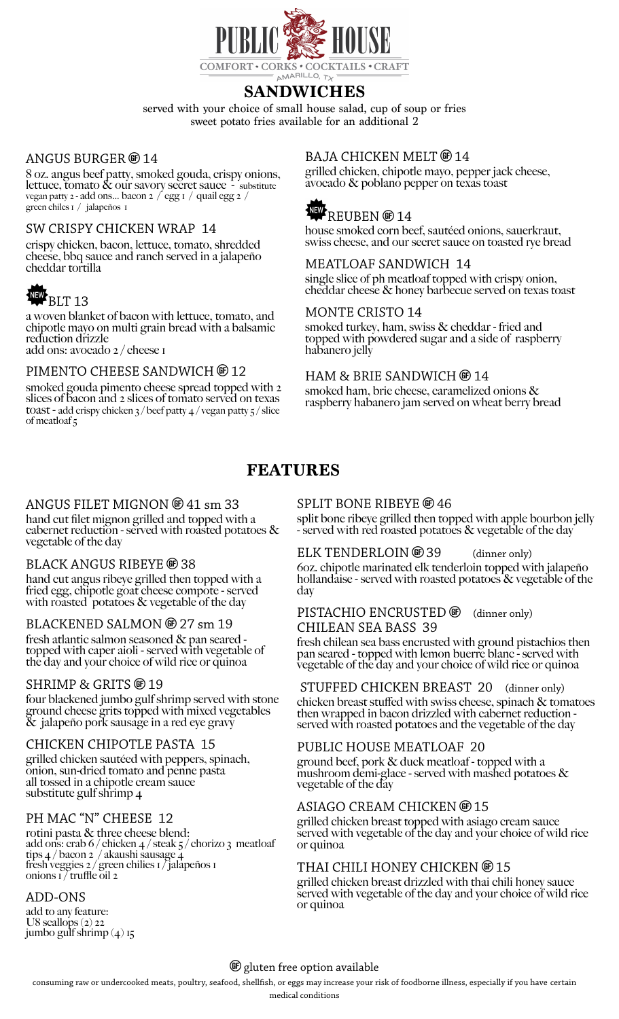

## **SANDWICHES**

served with your choice of small house salad, cup of soup or fries sweet potato fries available for an additional 2

#### ANGUS BURGER  $@14$

8 oz. angus beef patty, smoked gouda, crispy onions, lettuce, tomato & our savory secret sauce - substitute vegan patty 2 - add ons… bacon 2 / egg 1 / quail egg 2 / green chiles 1 / jalapeños 1

#### SW CRISPY CHICKEN WRAP 14

crispy chicken, bacon, lettuce, tomato, shredded cheese, bbq sauce and ranch served in a jalapeño cheddar tortilla

# BLT 13

a woven blanket of bacon with lettuce, tomato, and chipotle mayo on multi grain bread with a balsamic reduction drizzle add ons: avocado 2 / cheese 1

#### PIMENTO CHEESE SANDWICH  $\circledast$  12

smoked gouda pimento cheese spread topped with 2 slices of bacon and 2 slices of tomato served on texas toast - add crispy chicken  $\frac{3}{\sqrt{2}}$  beef patty  $\frac{4}{\sqrt{2}}$  / vegan patty  $\frac{5}{\sqrt{2}}$  slice of meatloaf 5

#### BAJA CHICKEN MELT @ 14

grilled chicken, chipotle mayo, pepper jack cheese, avocado & poblano pepper on texas toast

# REUBEN @14

house smoked corn beef, sautéed onions, sauerkraut, swiss cheese, and our secret sauce on toasted rye bread

MEATLOAF SANDWICH 14 single slice of ph meatloaf topped with crispy onion, cheddar cheese & honey barbecue served on texas toast

#### MONTE CRISTO 14

smoked turkey, ham, swiss & cheddar - fried and topped with powdered sugar and a side of raspberry habanero jelly

#### HAM & BRIE SANDWICH  $\circledast$  14

smoked ham, brie cheese, caramelized onions & raspberry habanero jam served on wheat berry bread

## **FEATURES**

#### ANGUS FILET MIGNON @ 41 sm 33

hand cut filet mignon grilled and topped with a cabernet reduction - served with roasted potatoes & vegetable of the day

#### BLACK ANGUS RIBEYE  $\circledast$  38

hand cut angus ribeye grilled then topped with a fried egg, chipotle goat cheese compote - served with roasted potatoes  $\&$  vegetable of the day

#### BLACKENED SALMON  $6$  27 sm 19

fresh atlantic salmon seasoned & pan seared topped with caper aioli - served with vegetable of the day and your choice of wild rice or quinoa

#### $SHRIMP & GRITS \n$  9 19

four blackened jumbo gulf shrimp served with stone ground cheese grits topped with mixed vegetables & jalapeño pork sausage in a red eye gravy

#### CHICKEN CHIPOTLE PASTA 15

grilled chicken sautéed with peppers, spinach, onion, sun-dried tomato and penne pasta all tossed in a chipotle cream sauce substitute gulf shrimp 4

#### PH MAC "N" CHEESE 12

rotini pasta & three cheese blend: add ons: crab 6 / chicken  $\frac{4}{3}$  / steak 5 / chorizo 3 meatloaf tips 4 / bacon 2 / akaushi sausage 4 fresh veggies 2 / green chilies 1 / jalapeños 1 onions 17 truffle oil 2

#### ADD-ONS

add to any feature: U8 scallops  $(2)$  22 jumbo gulf shrimp  $(4)$  15

#### SPLIT BONE RIBEYE <sup>®</sup> 46

split bone ribeye grilled then topped with apple bourbon jelly - served with red roasted potatoes & vegetable of the day

#### ELK TENDERLOIN  $\circledast$  39 (dinner only)

6oz. chipotle marinated elk tenderloin topped with jalapeño hollandaise - served with roasted potatoes & vegetable of the day

#### PISTACHIO ENCRUSTED  $\circledast$  (dinner only) CHILEAN SEA BASS 39

fresh chilean sea bass encrusted with ground pistachios then pan seared - topped with lemon buerre blanc - served with vegetable of the day and your choice of wild rice or quinoa

#### STUFFED CHICKEN BREAST 20 (dinner only)

chicken breast stuffed with swiss cheese, spinach & tomatoes then wrapped in bacon drizzled with cabernet reduction served with roasted potatoes and the vegetable of the day

#### PUBLIC HOUSE MEATLOAF 20

ground beef, pork & duck meatloaf - topped with a mushroom demi-glace - served with mashed potatoes  $\&$ vegetable of the day

#### ASIAGO CREAM CHICKEN ® 15

grilled chicken breast topped with asiago cream sauce served with vegetable of the day and your choice of wild rice or quinoa

#### THAI CHILI HONEY CHICKEN ® 15

grilled chicken breast drizzled with thai chili honey sauce served with vegetable of the day and your choice of wild rice or quinoa

#### **(6)** gluten free option available